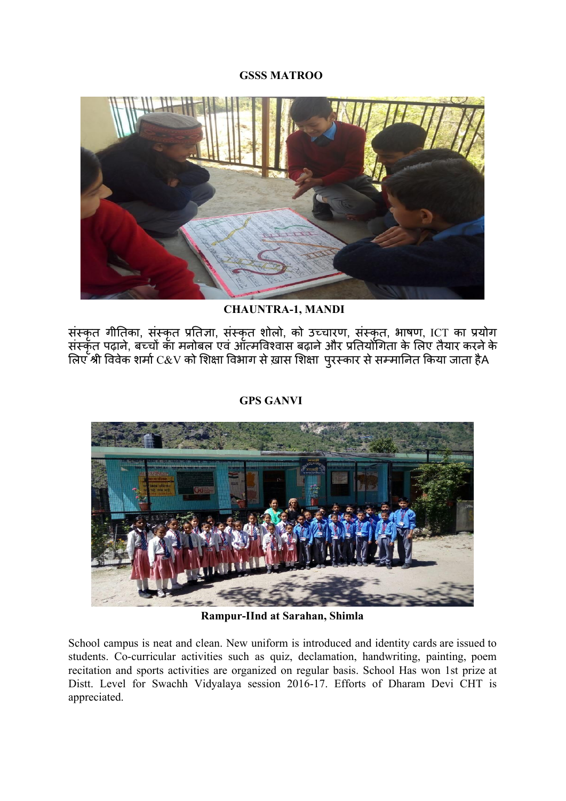### **GSSS MATROO**



 **CHAUNTRA-1, MANDI**

संस्कृत गीतिका, संस्कृत प्रतिज्ञा, संस्कृत शोलो, को उच्चारण, संस्कृत, भाषण, ICT का प्रयोग संस्कृत पढ़ाने, बच्चों का मनोबल एवं ऑत्मविश्वास बढ़ाने और प्रतियोगिता के लिए तैयार करने के लिए श्री विवेक शर्मा C&V को शिक्षा विभाग से ख़ास शिक्षा पुरस्कार से सम्मानित किया जाता हैA



**GPS GANVI**

**Rampur-IInd at Sarahan, Shimla**

School campus is neat and clean. New uniform is introduced and identity cards are issued to students. Co-curricular activities such as quiz, declamation, handwriting, painting, poem recitation and sports activities are organized on regular basis. School Has won 1st prize at Distt. Level for Swachh Vidyalaya session 2016-17. Efforts of Dharam Devi CHT is appreciated.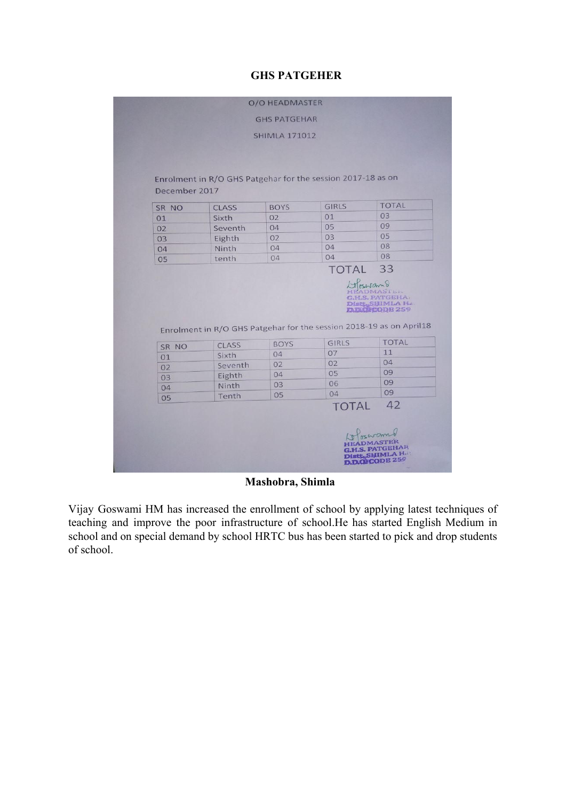# **GHS PATGEHER**

|               |                                                                     | <b>SHIMLA 171012</b> |              |                      |
|---------------|---------------------------------------------------------------------|----------------------|--------------|----------------------|
|               |                                                                     |                      |              |                      |
|               |                                                                     |                      |              |                      |
|               |                                                                     |                      |              |                      |
|               | Enrolment in R/O GHS Patgehar for the session 2017-18 as on         |                      |              |                      |
| December 2017 |                                                                     |                      |              |                      |
| SR NO         | <b>CLASS</b>                                                        | <b>BOYS</b>          | <b>GIRLS</b> | <b>TOTAL</b>         |
| 01            | Sixth                                                               | 02                   | 01           | 03                   |
| 02            | Seventh                                                             | 04                   | 05           | 09                   |
| 03            | Eighth                                                              | 02                   | 03           | 05                   |
| 04            | Ninth                                                               | 04                   | 04           | 08                   |
| 05            | tenth                                                               | 04                   | 04           | 08                   |
|               |                                                                     |                      |              | <b>DIRECTODE 259</b> |
|               | Enrolment in R/O GHS Patgehar for the session 2018-19 as on April18 |                      |              |                      |
|               |                                                                     | <b>BOYS</b>          | <b>GIRLS</b> |                      |
| SR NO         | CLASS<br>Sixth                                                      | 04                   | 07           | 11                   |
| O1            | Seventh                                                             | 02                   | 02           | <b>TOTAL</b><br>04   |
| 02            |                                                                     | 04                   | 05           | 09                   |
| 03            | Eighth<br>Ninth                                                     | 03                   | 06           | 09                   |
| 04            | Tenth                                                               | 05                   | 04           | 09                   |
| 05            |                                                                     |                      | <b>TOTAL</b> | 42                   |

 **Mashobra, Shimla**

Vijay Goswami HM has increased the enrollment of school by applying latest techniques of teaching and improve the poor infrastructure of school.He has started English Medium in school and on special demand by school HRTC bus has been started to pick and drop students of school.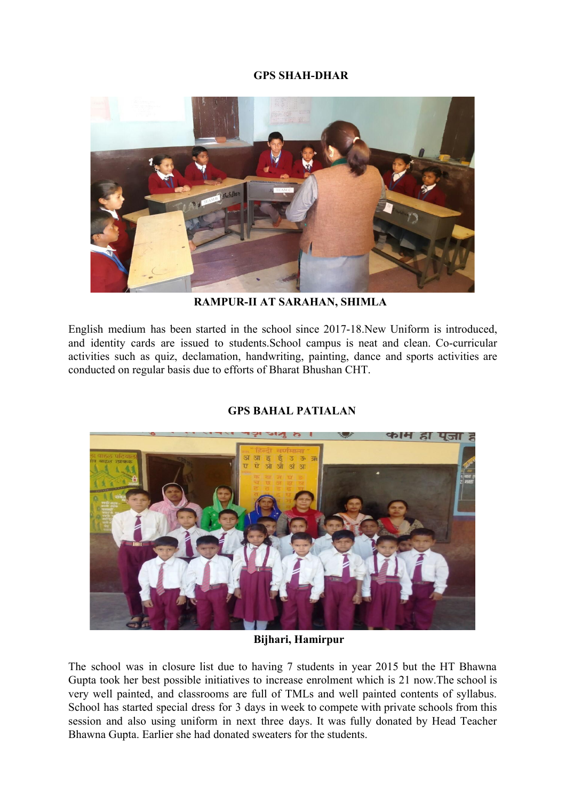## **GPS SHAH-DHAR**



 **RAMPUR-II AT SARAHAN, SHIMLA**

English medium has been started in the school since 2017-18.New Uniform is introduced, and identity cards are issued to students.School campus is neat and clean. Co-curricular activities such as quiz, declamation, handwriting, painting, dance and sports activities are conducted on regular basis due to efforts of Bharat Bhushan CHT.



## **GPS BAHAL PATIALAN**

#### **Bijhari, Hamirpur**

The school was in closure list due to having 7 students in year 2015 but the HT Bhawna Gupta took her best possible initiatives to increase enrolment which is 21 now.The school is very well painted, and classrooms are full of TMLs and well painted contents of syllabus. School has started special dress for 3 days in week to compete with private schools from this session and also using uniform in next three days. It was fully donated by Head Teacher Bhawna Gupta. Earlier she had donated sweaters for the students.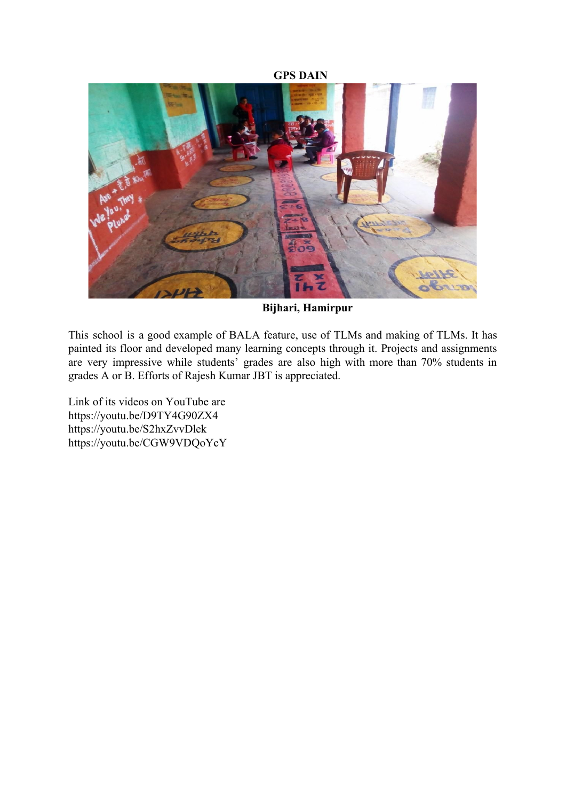#### **GPS DAIN**



 **Bijhari, Hamirpur**

This school is a good example of BALA feature, use of TLMs and making of TLMs. It has painted its floor and developed many learning concepts through it. Projects and assignments are very impressive while students' grades are also high with more than 70% students in grades A or B. Efforts of Rajesh Kumar JBT is appreciated.

Link of its videos on YouTube are https://youtu.be/D9TY4G90ZX4 https://youtu.be/S2hxZvvDlek https://youtu.be/CGW9VDQoYcY